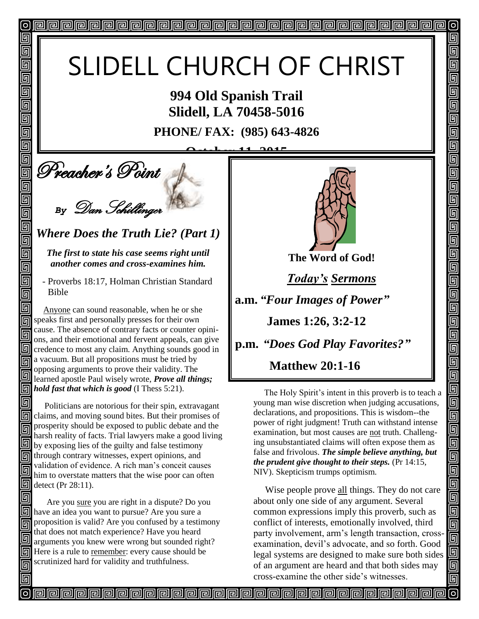# SLIDELL CHURCH OF CHRIST

**994 Old Spanish Trail Slidell, LA 70458-5016**

**PHONE/ FAX: (985) 643-4826**

**October 11, 2015**

**Deacher's Point** 

回

回 回 同

回

回 回

回

回

 $\blacksquare$ 

回

回

画

回 同

5 同 回

同

同

回

*By* Dan Schillinger

*Where Does the Truth Lie? (Part 1)*

*The first to state his case seems right until another comes and cross-examines him.*

 - Proverbs 18:17, Holman Christian Standard Bible

 Anyone can sound reasonable, when he or she speaks first and personally presses for their own cause. The absence of contrary facts or counter opinions, and their emotional and fervent appeals, can give Governost any claim. Anything sounds good in a vacuum. But all propositions must be tried by opposing arguments to prove their validity. The learned apostle Paul wisely wrote, *Prove all things; hold fast that which is good* (I Thess 5:21).

同 Politicians are notorious for their spin, extravagant claims, and moving sound bites. But their promises of prosperity should be exposed to public debate and the 同 harsh reality of facts. Trial lawyers make a good living  $\Box$  by exposing lies of the guilty and false testimony through contrary witnesses, expert opinions, and validation of evidence. A rich man's conceit causes 同 him to overstate matters that the wise poor can often  $\boxed{m}$  detect (Pr 28:11).

回 Are you sure you are right in a dispute? Do you  $\boxed{9}$  have an idea you want to pursue? Are you sure a proposition is valid? Are you confused by a testimony that does not match experience? Have you heard 同 arguments you knew were wrong but sounded right? Here is a rule to remember: every cause should be scrutinized hard for validity and truthfulness. 同



 $\sigma$ 

回

5

5

<u> ज</u>

回

5 5  $\overline{\mathsf{g}}$  $\overline{\mathbb{F}}$ 

回

 $\overline{\mathsf{g}}$ 

5

回

回  $\overline{\mathbb{F}}$ 

<u> ច</u> 回

回  $\overline{\mathbb{S}}$ 

 $\overline{\overline{\mathsf{g}}}$ 

回

<u>Faler</u>

<u>gie is</u>

ua<br>B

olololo<br>Ololol

画

Ō 回

回

**The Word of God!**

*Today's Sermons*

**a.m.** *"Four Images of Power"*

 **James 1:26, 3:2-12**

**p.m.** *"Does God Play Favorites?"*

 **Matthew 20:1-16** 

The Holy Spirit's intent in this proverb is to teach a young man wise discretion when judging accusations, declarations, and propositions. This is wisdom--the power of right judgment! Truth can withstand intense examination, but most causes are not truth. Challenging unsubstantiated claims will often expose them as false and frivolous. *The simple believe anything, but the prudent give thought to their steps.* (Pr 14:15, NIV). Skepticism trumps optimism.

 Wise people prove all things. They do not care about only one side of any argument. Several common expressions imply this proverb, such as conflict of interests, emotionally involved, third party involvement, arm's length transaction, crossexamination, devil's advocate, and so forth. Good legal systems are designed to make sure both sides of an argument are heard and that both sides may cross-examine the other side's witnesses.

<u>papapapapapapapapapapapapapapapa</u>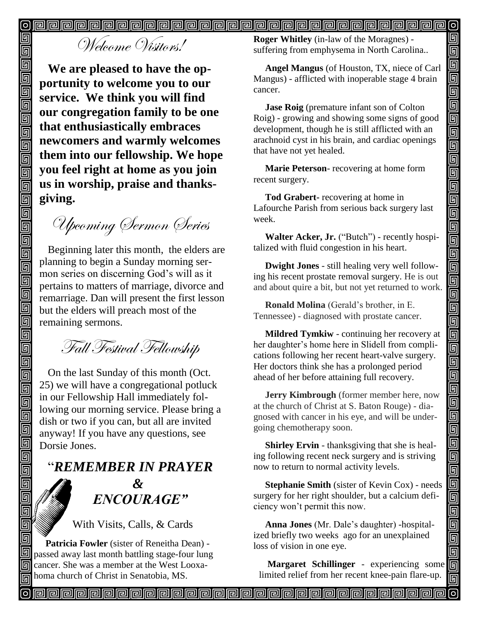靣

[o]

#### @@@@@@@@@@@@@@@@@@@@@@@@@@@@@@@  $\vert$ o $\vert$

Welcome Visitors!

回

回

回

回 Ō

回回

靣 Ō 回  $\overline{\mathbb{G}}$ 

回

回回

靣 回 回 靣 靣 靣 回

回  $\overline{\mathbb{G}}$ 回 回 回 回

 $\overline{\overline{\mathbb{G}}}$ 回

回 回  $\overline{\mathbb{D}}$ 

回

回

回 回 回

回

同

回

**We are pleased to have the opportunity to welcome you to our service. We think you will find our congregation family to be one that enthusiastically embraces newcomers and warmly welcomes them into our fellowship. We hope you feel right at home as you join us in worship, praise and thanksgiving.**

Upcoming Sermon Series

Beginning later this month, the elders are planning to begin a Sunday morning sermon series on discerning God's will as it pertains to matters of marriage, divorce and remarriage. Dan will present the first lesson but the elders will preach most of the remaining sermons.

Fall Festival Fellowship

On the last Sunday of this month (Oct. 25) we will have a congregational potluck in our Fellowship Hall immediately following our morning service. Please bring a dish or two if you can, but all are invited anyway! If you have any questions, see Dorsie Jones.

"*REMEMBER IN PRAYER &* " *ENCOURAGE"*

With Visits, Calls, & Cards

 **Patricia Fowler** (sister of Reneitha Dean) - **I** passed away last month battling stage-four lung cancer. She was a member at the West Looxahoma church of Christ in Senatobia, MS.

**Roger Whitley** (in-law of the Moragnes) suffering from emphysema in North Carolina..

 **Angel Mangus** (of Houston, TX, niece of Carl Mangus) - afflicted with inoperable stage 4 brain cancer.

 **Jase Roig** (premature infant son of Colton Roig) - growing and showing some signs of good development, though he is still afflicted with an arachnoid cyst in his brain, and cardiac openings that have not yet healed.

 **Marie Peterson**- recovering at home form recent surgery.

 **Tod Grabert-** recovering at home in Lafourche Parish from serious back surgery last week.

 **Walter Acker, Jr.** ("Butch") - recently hospitalized with fluid congestion in his heart.

 **Dwight Jones** - still healing very well following his recent prostate removal surgery. He is out and about quire a bit, but not yet returned to work.

 **Ronald Molina** (Gerald's brother, in E. Tennessee) - diagnosed with prostate cancer.

 **Mildred Tymkiw** - continuing her recovery at her daughter's home here in Slidell from complications following her recent heart-valve surgery. Her doctors think she has a prolonged period ahead of her before attaining full recovery.

 **Jerry Kimbrough** (former member here, now at the church of Christ at S. Baton Rouge) - diagnosed with cancer in his eye, and will be undergoing chemotherapy soon. Î

 **Shirley Ervin** - thanksgiving that she is healing following recent neck surgery and is striving now to return to normal activity levels.

 **Stephanie Smith** (sister of Kevin Cox) - needs surgery for her right shoulder, but a calcium deficiency won't permit this now.

 **Anna Jones** (Mr. Dale's daughter) -hospitalized briefly two weeks ago for an unexplained loss of vision in one eye.

**Margaret Schillinger** - experiencing some limited relief from her recent knee-pain flare-up.

**Part de la controva de la controva del controva del controva del controva del controva del controva del contro**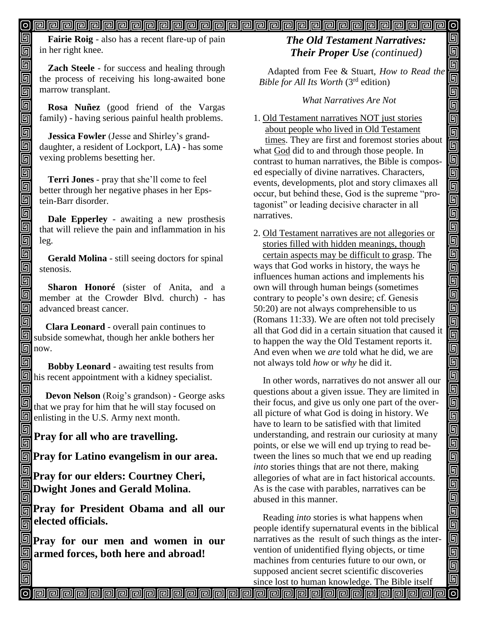#### <u>o popopopopopopopopopopopopopopopopop</u>  $\boldsymbol{\mathsf{[o]}}$

**Fairie Roig** - also has a recent flare-up of pain in her right knee.

**Zach Steele** - for success and healing through the process of receiving his long-awaited bone marrow transplant.

**Rosa Nuñez** (good friend of the Vargas family) - having serious painful health problems.

**Jessica Fowler** (Jesse and Shirley's granddaughter, a resident of Lockport, LA**)** - has some vexing problems besetting her.

**Terri Jones** - pray that she'll come to feel better through her negative phases in her Epstein-Barr disorder.

**Dale Epperley** - awaiting a new prosthesis that will relieve the pain and inflammation in his leg.

**Gerald Molina** - still seeing doctors for spinal stenosis.

**Sharon Honoré** (sister of Anita, and a member at the Crowder Blvd. church) - has advanced breast cancer.

 **Clara Leonard** - overall pain continues to subside somewhat, though her ankle bothers her  $\boxed{m}$  now.

 **Bobby Leonard** - awaiting test results from  $\boxed{9}$  his recent appointment with a kidney specialist.

 **Devon Nelson** (Roig's grandson) - George asks that we pray for him that he will stay focused on **end** enlisting in the U.S. Army next month.

**Pray for all who are travelling.**

**Pray for Latino evangelism in our area.**

**Pray for our elders: Courtney Cheri, Dwight Jones and Gerald Molina.**

**Pray for President Obama and all our delected officials.** 

**Pray for our men and women in our armed forces, both here and abroad!**

## *The Old Testament Narratives: Their Proper Use (continued)*

回

回 回

<u>ieir</u>

<u>alai</u>

اواواواواواواواواواواواواواواوا

000000

<u>g a di</u>

<u>sigisis</u>

99

 $\blacksquare$ 

回 ல

Adapted from Fee & Stuart, *How to Read the Bible for All Its Worth* (3rd edition)

### *What Narratives Are Not*

1. Old Testament narratives NOT just stories about people who lived in Old Testament times. They are first and foremost stories about what God did to and through those people. In contrast to human narratives, the Bible is composed especially of divine narratives. Characters, events, developments, plot and story climaxes all occur, but behind these, God is the supreme "protagonist" or leading decisive character in all narratives.

2. Old Testament narratives are not allegories or stories filled with hidden meanings, though certain aspects may be difficult to grasp. The ways that God works in history, the ways he influences human actions and implements his own will through human beings (sometimes contrary to people's own desire; cf. Genesis 50:20) are not always comprehensible to us (Romans 11:33). We are often not told precisely all that God did in a certain situation that caused it to happen the way the Old Testament reports it. And even when we *are* told what he did, we are not always told *how* or *why* he did it.

 In other words, narratives do not answer all our questions about a given issue. They are limited in their focus, and give us only one part of the overall picture of what God is doing in history. We have to learn to be satisfied with that limited understanding, and restrain our curiosity at many points, or else we will end up trying to read between the lines so much that we end up reading *into* stories things that are not there, making allegories of what are in fact historical accounts. As is the case with parables, narratives can be abused in this manner.

 Reading *into* stories is what happens when people identify supernatural events in the biblical narratives as the result of such things as the intervention of unidentified flying objects, or time machines from centuries future to our own, or supposed ancient secret scientific discoveries

since lost to human knowledge. The Bible itself